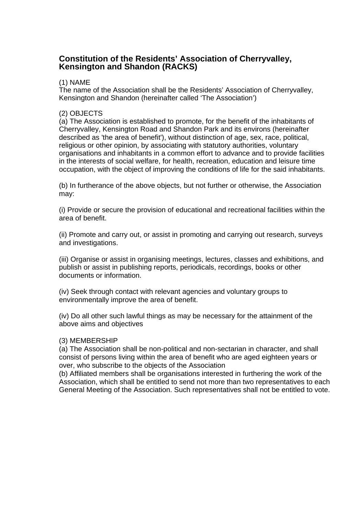# **Constitution of the Residents' Association of Cherryvalley, Kensington and Shandon (RACKS)**

# (1) NAME

The name of the Association shall be the Residents' Association of Cherryvalley, Kensington and Shandon (hereinafter called 'The Association')

# (2) OBJECTS

(a) The Association is established to promote, for the benefit of the inhabitants of Cherryvalley, Kensington Road and Shandon Park and its environs (hereinafter described as 'the area of benefit'), without distinction of age, sex, race, political, religious or other opinion, by associating with statutory authorities, voluntary organisations and inhabitants in a common effort to advance and to provide facilities in the interests of social welfare, for health, recreation, education and leisure time occupation, with the object of improving the conditions of life for the said inhabitants.

(b) In furtherance of the above objects, but not further or otherwise, the Association may:

(i) Provide or secure the provision of educational and recreational facilities within the area of benefit.

(ii) Promote and carry out, or assist in promoting and carrying out research, surveys and investigations.

(iii) Organise or assist in organising meetings, lectures, classes and exhibitions, and publish or assist in publishing reports, periodicals, recordings, books or other documents or information.

(iv) Seek through contact with relevant agencies and voluntary groups to environmentally improve the area of benefit.

(iv) Do all other such lawful things as may be necessary for the attainment of the above aims and objectives

#### (3) MEMBERSHIP

(a) The Association shall be non-political and non-sectarian in character, and shall consist of persons living within the area of benefit who are aged eighteen years or over, who subscribe to the objects of the Association

(b) Affiliated members shall be organisations interested in furthering the work of the Association, which shall be entitled to send not more than two representatives to each General Meeting of the Association. Such representatives shall not be entitled to vote.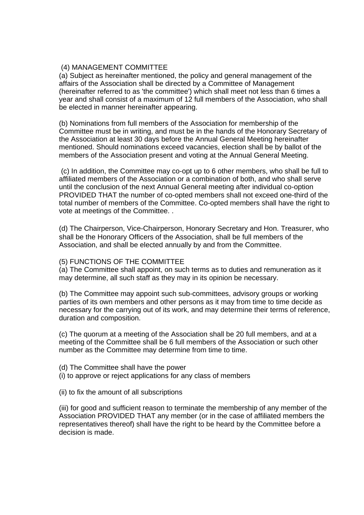#### (4) MANAGEMENT COMMITTEE

(a) Subject as hereinafter mentioned, the policy and general management of the affairs of the Association shall be directed by a Committee of Management (hereinafter referred to as 'the committee') which shall meet not less than 6 times a year and shall consist of a maximum of 12 full members of the Association, who shall be elected in manner hereinafter appearing.

(b) Nominations from full members of the Association for membership of the Committee must be in writing, and must be in the hands of the Honorary Secretary of the Association at least 30 days before the Annual General Meeting hereinafter mentioned. Should nominations exceed vacancies, election shall be by ballot of the members of the Association present and voting at the Annual General Meeting.

 (c) In addition, the Committee may co-opt up to 6 other members, who shall be full to affiliated members of the Association or a combination of both, and who shall serve until the conclusion of the next Annual General meeting after individual co-option PROVIDED THAT the number of co-opted members shall not exceed one-third of the total number of members of the Committee. Co-opted members shall have the right to vote at meetings of the Committee. .

(d) The Chairperson, Vice-Chairperson, Honorary Secretary and Hon. Treasurer, who shall be the Honorary Officers of the Association, shall be full members of the Association, and shall be elected annually by and from the Committee.

#### (5) FUNCTIONS OF THE COMMITTEE

(a) The Committee shall appoint, on such terms as to duties and remuneration as it may determine, all such staff as they may in its opinion be necessary.

(b) The Committee may appoint such sub-committees, advisory groups or working parties of its own members and other persons as it may from time to time decide as necessary for the carrying out of its work, and may determine their terms of reference, duration and composition.

(c) The quorum at a meeting of the Association shall be 20 full members, and at a meeting of the Committee shall be 6 full members of the Association or such other number as the Committee may determine from time to time.

- (d) The Committee shall have the power
- (i) to approve or reject applications for any class of members
- (ii) to fix the amount of all subscriptions

(iii) for good and sufficient reason to terminate the membership of any member of the Association PROVIDED THAT any member (or in the case of affiliated members the representatives thereof) shall have the right to be heard by the Committee before a decision is made.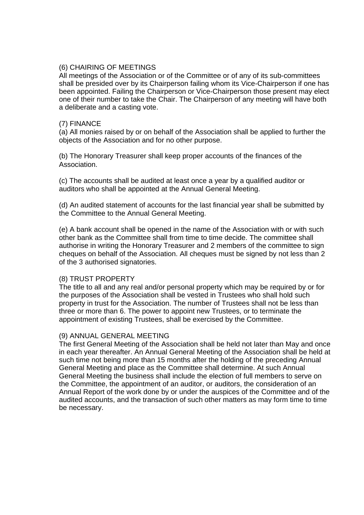## (6) CHAIRING OF MEETINGS

All meetings of the Association or of the Committee or of any of its sub-committees shall be presided over by its Chairperson failing whom its Vice-Chairperson if one has been appointed. Failing the Chairperson or Vice-Chairperson those present may elect one of their number to take the Chair. The Chairperson of any meeting will have both a deliberate and a casting vote.

# (7) FINANCE

(a) All monies raised by or on behalf of the Association shall be applied to further the objects of the Association and for no other purpose.

(b) The Honorary Treasurer shall keep proper accounts of the finances of the Association.

(c) The accounts shall be audited at least once a year by a qualified auditor or auditors who shall be appointed at the Annual General Meeting.

(d) An audited statement of accounts for the last financial year shall be submitted by the Committee to the Annual General Meeting.

(e) A bank account shall be opened in the name of the Association with or with such other bank as the Committee shall from time to time decide. The committee shall authorise in writing the Honorary Treasurer and 2 members of the committee to sign cheques on behalf of the Association. All cheques must be signed by not less than 2 of the 3 authorised signatories.

#### (8) TRUST PROPERTY

The title to all and any real and/or personal property which may be required by or for the purposes of the Association shall be vested in Trustees who shall hold such property in trust for the Association. The number of Trustees shall not be less than three or more than 6. The power to appoint new Trustees, or to terminate the appointment of existing Trustees, shall be exercised by the Committee.

#### (9) ANNUAL GENERAL MEETING

The first General Meeting of the Association shall be held not later than May and once in each year thereafter. An Annual General Meeting of the Association shall be held at such time not being more than 15 months after the holding of the preceding Annual General Meeting and place as the Committee shall determine. At such Annual General Meeting the business shall include the election of full members to serve on the Committee, the appointment of an auditor, or auditors, the consideration of an Annual Report of the work done by or under the auspices of the Committee and of the audited accounts, and the transaction of such other matters as may form time to time be necessary.